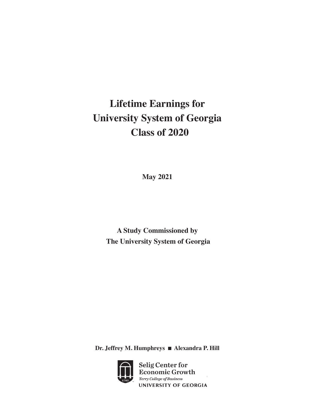# **Lifetime Earnings for University System of Georgia Class of 2020**

**May 2021**

**A Study Commissioned by The University System of Georgia**

**Dr. Jeffrey M. Humphreys** n **Alexandra P. Hill**



Selig Center for Economic Growth Terry College of Business UNIVERSITY OF GEORGIA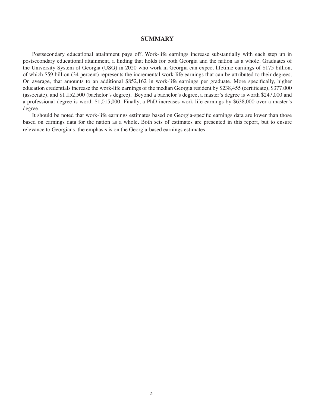## **SUMMARY**

Postsecondary educational attainment pays off. Work-life earnings increase substantially with each step up in postsecondary educational attainment, a finding that holds for both Georgia and the nation as a whole. Graduates of the University System of Georgia (USG) in 2020 who work in Georgia can expect lifetime earnings of \$175 billion, of which \$59 billion (34 percent) represents the incremental work-life earnings that can be attributed to their degrees. On average, that amounts to an additional \$852,162 in work-life earnings per graduate. More specifically, higher education credentials increase the work-life earnings of the median Georgia resident by \$238,455 (certificate), \$377,000 (associate), and \$1,152,500 (bachelor's degree). Beyond a bachelor's degree, a master's degree is worth \$247,000 and a professional degree is worth \$1,015,000. Finally, a PhD increases work-life earnings by \$638,000 over a master's degree.

It should be noted that work-life earnings estimates based on Georgia-specific earnings data are lower than those based on earnings data for the nation as a whole. Both sets of estimates are presented in this report, but to ensure relevance to Georgians, the emphasis is on the Georgia-based earnings estimates.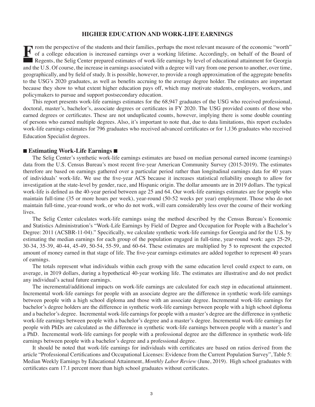## **HIGHER EDUCATION AND WORK-LIFE EARNINGS**

From the perspective of the students and their families, perhaps the most relevant measure of the economic "worth" of a college education is increased earnings over a working lifetime. Accordingly, on behalf of the Board o of a college education is increased earnings over a working lifetime. Accordingly, on behalf of the Board of Regents, the Selig Center prepared estimates of work-life earnings by level of educational attainment for Georgia and the U.S. Of course, the increase in earnings associated with a degree will vary from one person to another, over time, geographically, and by field of study. It is possible, however, to provide a rough approximation of the aggregate benefits to the USG's 2020 graduates, as well as benefits accruing to the average degree holder. The estimates are important because they show to what extent higher education pays off, which may motivate students, employers, workers, and policymakers to pursue and support postsecondary education.

This report presents work-life earnings estimates for the 68,947 graduates of the USG who received professional, doctoral, master's, bachelor's, associate degrees or certificates in FY 2020. The USG provided counts of those who earned degrees or certificates. These are not unduplicated counts, however, implying there is some double counting of persons who earned multiple degrees. Also, it's important to note that, due to data limitations, this report excludes work-life earnings estimates for 796 graduates who received advanced certificates or for 1,136 graduates who received Education Specialist degrees.

## ■ **Estimating Work-Life Earnings**

The Selig Center's synthetic work-life earnings estimates are based on median personal earned income (earnings) data from the U.S. Census Bureau's most recent five-year American Community Survey (2015-2019). The estimates therefore are based on earnings gathered over a particular period rather than longitudinal earnings data for 40 years of individuals' work-life. We use the five-year ACS because it increases statistical reliability enough to allow for investigation at the state-level by gender, race, and Hispanic origin. The dollar amounts are in 2019 dollars. The typical work-life is defined as the 40-year period between age 25 and 64. Our work-life earnings estimates are for people who maintain full-time (35 or more hours per week), year-round (50-52 weeks per year) employment. Those who do not maintain full-time, year-round work, or who do not work, will earn considerably less over the course of their working lives.

The Selig Center calculates work-life earnings using the method described by the Census Bureau's Economic and Statistics Administration's "Work-Life Earnings by Field of Degree and Occupation for People with a Bachelor's Degree: 2011 (ACSBR-11-04)." Specifically, we calculate synthetic work-life earnings for Georgia and for the U.S. by estimating the median earnings for each group of the population engaged in full-time, year-round work: ages 25-29, 30-34, 35-39, 40-44, 45-49, 50-54, 55-59, and 60-64. These estimates are multiplied by 5 to represent the expected amount of money earned in that stage of life. The five-year earnings estimates are added together to represent 40 years of earnings.

The totals represent what individuals within each group with the same education level could expect to earn, on average, in 2019 dollars, during a hypothetical 40-year working life. The estimates are illustrative and do not predict any individual's actual future earnings.

The incremental/additional impacts on work-life earnings are calculated for each step in educational attainment. Incremental work-life earnings for people with an associate degree are the difference in synthetic work-life earnings between people with a high school diploma and those with an associate degree. Incremental work-life earnings for bachelor's degree holders are the difference in synthetic work-life earnings between people with a high school diploma and a bachelor's degree. Incremental work-life earnings for people with a master's degree are the difference in synthetic work-life earnings between people with a bachelor's degree and a master's degree. Incremental work-life earnings for people with PhDs are calculated as the difference in synthetic work-life earnings between people with a master's and a PhD. Incremental work-life earnings for people with a professional degree are the difference in synthetic work-life earnings between people with a bachelor's degree and a professional degree.

It should be noted that work-life earnings for individuals with certificates are based on ratios derived from the article "Professional Certifications and Occupational Licenses: Evidence from the Current Population Survey", Table 5: Median Weekly Earnings by Educational Attainment, *Monthly Labor Review* (June, 2019). High school graduates with certificates earn 17.1 percent more than high school graduates without certificates.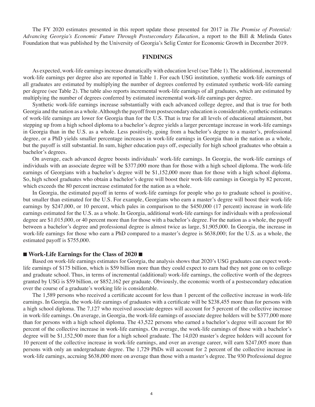The FY 2020 estimates presented in this report update those presented for 2017 in *The Promise of Potential: Advancing Georgia's Economic Future Through Postsecondary Education*, a report to the Bill & Melinda Gates Foundation that was published by the University of Georgia's Selig Center for Economic Growth in December 2019.

## **FINDINGS**

As expected, work-life earnings increase dramatically with education level (see Table 1). The additional, incremental work-life earnings per degree also are reported in Table 1. For each USG institution, synthetic work-life earnings of all graduates are estimated by multiplying the number of degrees conferred by estimated synthetic work-life earning per degree (see Table 2). The table also reports incremental work-life earnings of all graduates, which are estimated by multiplying the number of degrees conferred by estimated incremental work-life earnings per degree.

Synthetic work-life earnings increase substantially with each advanced college degree, and that is true for both Georgia and the nation as a whole. Although the payoff from postsecondary education is considerable, synthetic estimates of work-life earnings are lower for Georgia than for the U.S. That is true for all levels of educational attainment, but stepping up from a high school diploma to a bachelor's degree yields a larger percentage increase in work-life earnings in Georgia than in the U.S. as a whole. Less positively, going from a bachelor's degree to a master's, professional degree, or a PhD yields smaller percentage increases in work-life earnings in Georgia than in the nation as a whole, but the payoff is still substantial. In sum, higher education pays off, especially for high school graduates who obtain a bachelor's degrees.

On average, each advanced degree boosts individuals' work-life earnings. In Georgia, the work-life earnings of individuals with an associate degree will be \$377,000 more than for those with a high school diploma. The work-life earnings of Georgians with a bachelor's degree will be \$1,152,000 more than for those with a high school diploma. So, high school graduates who obtain a bachelor's degree will boost their work-life earnings in Georgia by 82 percent, which exceeds the 80 percent increase estimated for the nation as a whole.

In Georgia, the estimated payoff in terms of work-life earnings for people who go to graduate school is positive, but smaller than estimated for the U.S. For example, Georgians who earn a master's degree will boost their work-life earnings by \$247,000, or 10 percent, which pales in comparison to the \$450,000 (17 percent) increase in work-life earnings estimated for the U.S. as a whole. In Georgia, additional work-life earnings for individuals with a professional degree are \$1,015,000, or 40 percent more than for those with a bachelor's degree. For the nation as a whole, the payoff between a bachelor's degree and professional degree is almost twice as large, \$1,905,000. In Georgia, the increase in work-life earnings for those who earn a PhD compared to a master's degree is \$638,000; for the U.S. as a whole, the estimated payoff is \$755,000.

## ■ Work-Life Earnings for the Class of 2020 **■**

Based on work-life earnings estimates for Georgia, the analysis shows that 2020's USG graduates can expect worklife earnings of \$175 billion, which is \$59 billion more than they could expect to earn had they not gone on to college and graduate school. Thus, in terms of incremental (additional) work-life earnings, the collective worth of the degrees granted by USG is \$59 billion, or \$852,162 per graduate. Obviously, the economic worth of a postsecondary education over the course of a graduate's working life is considerable.

The 1,589 persons who received a certificate account for less than 1 percent of the collective increase in work-life earnings. In Georgia, the work-life earnings of graduates with a certificate will be \$238,455 more than for persons with a high school diploma. The 7,127 who received associate degrees will account for 5 percent of the collective increase in work-life earnings. On average, in Georgia, the work-life earnings of associate degree holders will be \$377,000 more than for persons with a high school diploma. The 43,522 persons who earned a bachelor's degree will account for 80 percent of the collective increase in work-life earnings. On average, the work-life earnings of those with a bachelor's degree will be \$1,152,500 more than for a high school graduate. The 14,020 master's degree holders will account for 10 percent of the collective increase in work-life earnings, and over an average career, will earn \$247,005 more than persons with only an undergraduate degree. The 1,729 PhDs will account for 2 percent of the collective increase in work-life earnings, accruing \$638,000 more on average than those with a master's degree. The 930 Professional degree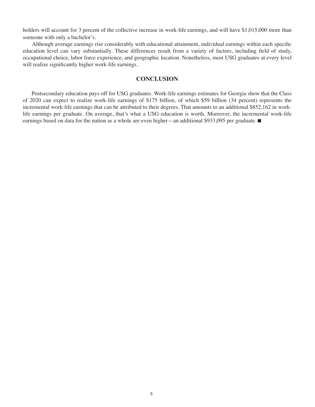holders will account for 3 percent of the collective increase in work-life earnings, and will have \$1,015,000 more than someone with only a bachelor's.

Although average earnings rise considerably with educational attainment, individual earnings within each specific education level can vary substantially. These differences result from a variety of factors, including field of study, occupational choice, labor force experience, and geographic location. Nonetheless, most USG graduates at every level will realize significantly higher work-life earnings.

## **CONCLUSION**

Postsecondary education pays off for USG graduates. Work-life earnings estimates for Georgia show that the Class of 2020 can expect to realize work-life earnings of \$175 billion, of which \$59 billion (34 percent) represents the incremental work-life earnings that can be attributed to their degrees. That amounts to an additional \$852,162 in worklife earnings per graduate. On average, that's what a USG education is worth. Moreover, the incremental work-life earnings based on data for the nation as a whole are even higher—an additional \$933,095 per graduate.  $\blacksquare$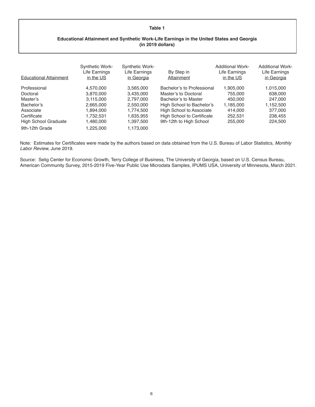#### **Table 1**

## **Educational Attainment and Synthetic Work-Life Earnings in the United States and Georgia (in 2019 dollars)**

| <b>Educational Attainment</b> | <b>Synthetic Work-</b><br>Life Earnings<br>in the US | <b>Synthetic Work-</b><br>Life Earnings<br>in Georgia | By Step in<br>Attainment          | <b>Additional Work-</b><br>Life Earnings<br>in the US | <b>Additional Work-</b><br>Life Earnings<br>in Georgia |
|-------------------------------|------------------------------------------------------|-------------------------------------------------------|-----------------------------------|-------------------------------------------------------|--------------------------------------------------------|
| Professional                  | 4,570,000                                            | 3,565,000                                             | Bachelor's to Professional        | 1,905,000                                             | 1,015,000                                              |
| Doctoral                      | 3,870,000                                            | 3,435,000                                             | Master's to Doctoral              | 755,000                                               | 638,000                                                |
| Master's                      | 3,115,000                                            | 2,797,000                                             | Bachelor's to Master              | 450.000                                               | 247.000                                                |
| Bachelor's                    | 2,665,000                                            | 2,550,000                                             | High School to Bachelor's         | 1,185,000                                             | 1,152,500                                              |
| Associate                     | 1,894,000                                            | 1,774,500                                             | <b>High School to Associate</b>   | 414.000                                               | 377,000                                                |
| Certificate                   | 1,732,531                                            | 1,635,955                                             | <b>High School to Certificate</b> | 252,531                                               | 238,455                                                |
| <b>High School Graduate</b>   | 1,480,000                                            | 1,397,500                                             | 9th-12th to High School           | 255,000                                               | 224,500                                                |
| 9th-12th Grade                | 1,225,000                                            | 1,173,000                                             |                                   |                                                       |                                                        |

Note: Estimates for Certificates were made by the authors based on data obtained from the U.S. Bureau of Labor Statistics*, Monthly Labor Review,* June 2019. 

Source: Selig Center for Economic Growth, Terry College of Business, The University of Georgia, based on U.S. Census Bureau, American Community Survey, 2015-2019 Five-Year Public Use Microdata Samples, IPUMS USA, University of Minnesota, March 2021.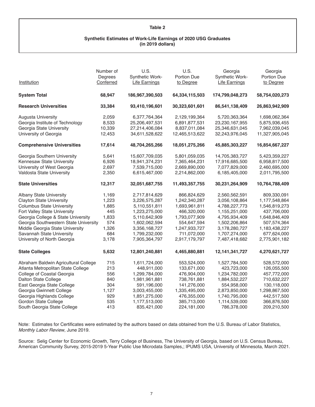#### **Table 2**

## **Synthetic Estimates of Work-Life Earnings of 2020 USG Graduates (in 2019 dollars)**

| Institution                                                  | Number of<br>Degrees<br>Conferred | U.S.<br>Synthetic Work-<br><b>Life Earnings</b> | U.S.<br>Portion Due<br>to Degree | Georgia<br>Synthetic Work-<br><b>Life Earnings</b> | Georgia<br>Portion Due<br>to Degree |
|--------------------------------------------------------------|-----------------------------------|-------------------------------------------------|----------------------------------|----------------------------------------------------|-------------------------------------|
| <b>System Total</b>                                          | 68,947                            | 186,967,390,503                                 | 64,334,115,503                   | 174,799,048,273                                    | 58,754,020,273                      |
| <b>Research Universities</b>                                 | 33,384                            | 93,410,196,601                                  | 30,323,601,601                   | 86,541,138,409                                     | 26,863,942,909                      |
| <b>Augusta University</b><br>Georgia Institute of Technology | 2,059<br>8,533                    | 6,377,764,364<br>25,206,497,531                 | 2,129,199,364<br>6,891,877,531   | 5,720,363,364<br>23,230,167,955                    | 1,698,062,364<br>5,875,936,455      |
| Georgia State University                                     | 10,339                            | 27,214,406,084                                  | 8,837,011,084                    | 25,346,631,045                                     | 7,962,039,045                       |
| University of Georgia                                        | 12,453                            | 34,611,528,622                                  | 12,465,513,622                   | 32,243,976,045                                     | 11,327,905,045                      |
| <b>Comprehensive Universities</b>                            | 17,614                            | 48,704,265,266                                  | 18,051,275,266                   | 45,885,303,227                                     | 16,854,667,227                      |
| Georgia Southern University                                  | 5,641                             | 15,607,709,035                                  | 5,801,059,035                    | 14,705,383,727                                     | 5,423,359,227                       |
| Kennesaw State University                                    | 6,926                             | 18,941,374,231                                  | 7,365,464,231                    | 17,916,685,500                                     | 6,958,817,500                       |
| University of West Georgia                                   | 2,697                             | 7,539,715,000                                   | 2,669,890,000                    | 7,077,829,000                                      | 2,460,695,000                       |
| Valdosta State University                                    | 2,350                             | 6,615,467,000                                   | 2,214,862,000                    | 6,185,405,000                                      | 2,011,795,500                       |
| <b>State Universities</b>                                    | 12,317                            | 32,051,687,755                                  | 11,493,357,755                   | 30,231,264,909                                     | 10,764,788,409                      |
| <b>Albany State University</b>                               | 1,169                             | 2,717,814,629                                   | 866,824,629                      | 2,560,562,591                                      | 809,330,091                         |
| <b>Clayton State University</b>                              | 1,223                             | 3,226,575,287                                   | 1,242,340,287                    | 3,056,108,864                                      | 1,177,548,864                       |
| <b>Columbus State University</b>                             | 1,885                             | 5,110,551,811                                   | 1,693,961,811                    | 4,788,227,773                                      | 1,546,819,273                       |
| Fort Valley State University                                 | 445                               | 1,223,275,000                                   | 466,320,000                      | 1,155,251,000                                      | 437,706,000                         |
| Georgia College & State University                           | 1,833                             | 5,110,642,909                                   | 1,793,077,909                    | 4,795,934,409                                      | 1,648,846,409                       |
| Georgia Southwestern State University                        | 574                               | 1,602,062,594                                   | 554,647,594                      | 1,502,206,864                                      | 507,574,364                         |
| Middle Georgia State University                              | 1,326                             | 3,356,168,727                                   | 1,247,933,727                    | 3,178,280,727                                      | 1,183,438,227                       |
| Savannah State University                                    | 684                               | 1,799,232,000                                   | 711,072,000                      | 1,707,274,000                                      | 677,624,000                         |
| University of North Georgia                                  | 3,178                             | 7,905,364,797                                   | 2,917,179,797                    | 7,487,418,682                                      | 2,775,901,182                       |
| <b>State Colleges</b>                                        | 5,632                             | 12,801,240,881                                  | 4,465,880,881                    | 12, 141, 341, 727                                  | 4,270,621,727                       |
| Abraham Baldwin Agricultural College                         | 715                               | 1,611,724,000                                   | 553,524,000                      | 1,527,784,500                                      | 528,572,000                         |
| Atlanta Metropolitan State College                           | 213                               | 448,911,000                                     | 133,671,000                      | 423,723,000                                        | 126,055,500                         |
| College of Coastal Georgia                                   | 556                               | 1,299,784,000                                   | 476,904,000                      | 1,234,782,000                                      | 457,772,000                         |
| Dalton State College                                         | 840                               | 1,981,961,881                                   | 738,761,881                      | 1,884,532,227                                      | 710,632,227                         |
| East Georgia State College                                   | 304                               | 591,196,000                                     | 141,276,000                      | 554,958,000                                        | 130,118,000                         |
| Georgia Gwinnett College                                     | 1,127                             | 3,003,455,000                                   | 1,335,495,000                    | 2,873,850,000                                      | 1,298,867,500                       |
| Georgia Highlands College                                    | 929                               | 1,851,275,000                                   | 476,355,000                      | 1,740,795,000                                      | 442,517,500                         |
| Gordon State College                                         | 535                               | 1,177,513,000                                   | 385,713,000                      | 1,114,539,000                                      | 366,876,500                         |
| South Georgia State College                                  | 413                               | 835,421,000                                     | 224,181,000                      | 786,378,000                                        | 209,210,500                         |

Note: Estimates for Certificates were estimated by the authors based on data obtained from the U.S. Bureau of Labor Statistics, *Monthly Labor Review*, June 2019. 

Source: Selig Center for Economic Growth, Terry College of Business, The University of Georgia, based on U.S. Census Bureau, American Community Survey, 2015-2019 5-Year Public Use Microdata Samples,; IPUMS USA, University of Minnesota, March 2021.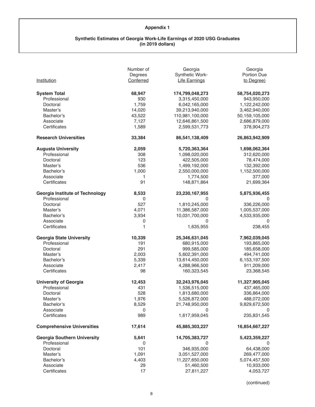# **Appendix 1**

#### **Synthetic Estimates of Georgia Work-Life Earnings of 2020 USG Graduates (in 2019 dollars)**

| Institution                            | Number of<br>Degrees<br>Conferred | Georgia<br>Synthetic Work-<br><b>Life Earnings</b> | Georgia<br>Portion Due<br>to Degree) |
|----------------------------------------|-----------------------------------|----------------------------------------------------|--------------------------------------|
| <b>System Total</b>                    | 68,947                            | 174,799,048,273                                    | 58,754,020,273                       |
| Professional                           | 930                               | 3,315,450,000                                      | 943,950,000                          |
| Doctoral                               | 1,759                             | 6,042,165,000                                      | 1,122,242,000                        |
| Master's                               | 14,020                            | 39,213,940,000                                     | 3,462,940,000                        |
| Bachelor's                             | 43,522                            | 110,981,100,000                                    | 50,159,105,000                       |
| Associate                              | 7,127                             | 12,646,861,500                                     | 2,686,879,000                        |
| Certificates                           | 1,589                             | 2,599,531,773                                      | 378,904,273                          |
| <b>Research Universities</b>           | 33,384                            | 86,541,138,409                                     | 26,863,942,909                       |
| <b>Augusta University</b>              | 2,059                             | 5,720,363,364                                      | 1,698,062,364                        |
| Professional                           | 308                               | 1,098,020,000                                      | 312,620,000                          |
| Doctoral                               | 123                               | 422,505,000                                        | 78,474,000                           |
| Master's                               | 536                               | 1,499,192,000                                      | 132,392,000                          |
| Bachelor's                             | 1,000                             | 2,550,000,000                                      | 1,152,500,000                        |
| Associate                              | 1                                 | 1,774,500                                          | 377,000                              |
| Certificates                           | 91                                | 148,871,864                                        | 21,699,364                           |
| <b>Georgia Institute of Technology</b> | 8,533                             | 23,230,167,955                                     | 5,875,936,455                        |
| Professional                           | 0                                 | 0                                                  | 0                                    |
| Doctoral                               | 527                               | 1,810,245,000                                      | 336,226,000                          |
| Master's                               | 4,071                             | 11,386,587,000                                     | 1,005,537,000                        |
| Bachelor's                             | 3,934                             | 10,031,700,000                                     | 4,533,935,000                        |
| Associate                              | 0                                 | 0                                                  | 0                                    |
| Certificates                           | 1                                 | 1,635,955                                          | 238,455                              |
| <b>Georgia State University</b>        | 10,339                            | 25,346,631,045                                     | 7,962,039,045                        |
| Professional                           | 191                               | 680,915,000                                        | 193,865,000                          |
| Doctoral                               | 291                               | 999,585,000                                        | 185,658,000                          |
| Master's                               | 2,003                             | 5,602,391,000                                      | 494,741,000                          |
| Bachelor's                             | 5,339                             | 13,614,450,000                                     | 6,153,197,500                        |
| Associate                              | 2,417                             | 4,288,966,500                                      | 911,209,000                          |
| Certificates                           | 98                                | 160,323,545                                        | 23,368,545                           |
| <b>University of Georgia</b>           | 12,453                            | 32,243,976,045                                     | 11,327,905,045                       |
| Professional                           | 431                               | 1,536,515,000                                      | 437,465,000                          |
| Doctoral                               | 528                               | 1,813,680,000                                      | 336,864,000                          |
| Master's                               | 1,976                             | 5,526,872,000                                      | 488,072,000                          |
| Bachelor's                             | 8,529                             | 21,748,950,000                                     | 9,829,672,500                        |
| Associate                              | 0                                 | 0                                                  | 0                                    |
| Certificates                           | 989                               | 1,617,959,045                                      | 235,831,545                          |
| <b>Comprehensive Universities</b>      | 17,614                            | 45,885,303,227                                     | 16,854,667,227                       |
| <b>Georgia Southern University</b>     | 5,641                             | 14,705,383,727                                     | 5,423,359,227                        |
| Professional                           | 0                                 | O                                                  |                                      |
| Doctoral                               | 101                               | 346,935,000                                        | 64,438,000                           |
| Master's                               | 1,091                             | 3,051,527,000                                      | 269,477,000                          |
| Bachelor's                             | 4,403                             | 11,227,650,000                                     | 5,074,457,500                        |
| Associate                              | 29                                | 51,460,500                                         | 10,933,000                           |
| Certificates                           | 17                                | 27,811,227                                         | 4,053,727                            |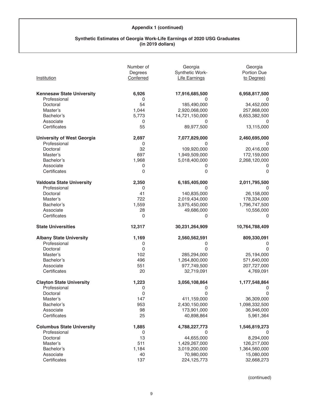#### **Synthetic Estimates of Georgia Work-Life Earnings of 2020 USG Graduates (in 2019 dollars)**

|                                   | Number of<br>Degrees | Georgia<br><b>Synthetic Work-</b> | Georgia<br>Portion Due |
|-----------------------------------|----------------------|-----------------------------------|------------------------|
| Institution                       | Conferred            | <b>Life Earnings</b>              | to Degree)             |
| <b>Kennesaw State University</b>  | 6,926                | 17,916,685,500                    | 6,958,817,500          |
| Professional                      | 0                    | 0                                 | 0                      |
| Doctoral                          | 54                   | 185,490,000                       | 34,452,000             |
| Master's                          | 1,044                | 2,920,068,000                     | 257,868,000            |
| Bachelor's                        | 5,773                | 14,721,150,000                    | 6,653,382,500          |
| Associate                         | 0                    | 0                                 |                        |
| Certificates                      | 55                   | 89,977,500                        | 13,115,000             |
| <b>University of West Georgia</b> | 2,697                | 7,077,829,000                     | 2,460,695,000          |
| Professional                      | 0                    | 0                                 | 0                      |
| Doctoral                          | 32                   | 109,920,000                       | 20,416,000             |
| Master's                          | 697                  | 1,949,509,000                     | 172,159,000            |
| Bachelor's                        | 1,968                | 5,018,400,000                     | 2,268,120,000          |
| Associate                         | 0                    | 0                                 | 0                      |
| Certificates                      | 0                    | 0                                 | $\Omega$               |
| <b>Valdosta State University</b>  | 2,350                | 6,185,405,000                     | 2,011,795,500          |
| Professional                      | 0                    | 0                                 | 0                      |
| Doctoral                          | 41                   | 140,835,000                       | 26,158,000             |
| Master's                          | 722                  | 2,019,434,000                     | 178,334,000            |
| Bachelor's                        | 1,559                | 3,975,450,000                     | 1,796,747,500          |
| Associate                         | 28                   | 49,686,000                        | 10,556,000             |
| Certificates                      | $\mathbf 0$          | 0                                 | 0                      |
| <b>State Universities</b>         | 12,317               | 30,231,264,909                    | 10,764,788,409         |
| <b>Albany State University</b>    | 1,169                | 2,560,562,591                     | 809,330,091            |
| Professional                      | 0                    | 0                                 | 0                      |
| Doctoral                          | $\mathbf 0$          | 0                                 | $\Omega$               |
| Master's                          | 102                  | 285,294,000                       | 25,194,000             |
| Bachelor's                        | 496                  | 1,264,800,000                     | 571,640,000            |
| Associate                         | 551                  | 977,749,500                       | 207,727,000            |
| Certificates                      | 20                   | 32,719,091                        | 4,769,091              |
| <b>Clayton State University</b>   | 1,223                | 3,056,108,864                     | 1,177,548,864          |
| Professional                      | 0                    | 0                                 | 0                      |
| Doctoral                          | $\boldsymbol{0}$     | 0                                 | 0                      |
| Master's                          | 147                  | 411,159,000                       | 36,309,000             |
| Bachelor's                        | 953                  | 2,430,150,000                     | 1,098,332,500          |
| Associate                         | 98                   | 173,901,000                       | 36,946,000             |
| Certificates                      | 25                   | 40,898,864                        | 5,961,364              |
| <b>Columbus State University</b>  | 1,885                | 4,788,227,773                     | 1,546,819,273          |
| Professional                      | $\mathbf 0$          | 0                                 | 0                      |
| Doctoral                          | 13                   | 44,655,000                        | 8,294,000              |
| Master's                          | 511                  | 1,429,267,000                     | 126,217,000            |
| Bachelor's                        | 1,184                | 3,019,200,000                     | 1,364,560,000          |
| Associate                         | 40                   | 70,980,000                        | 15,080,000             |
| Certificates                      | 137                  | 224,125,773                       | 32,668,273             |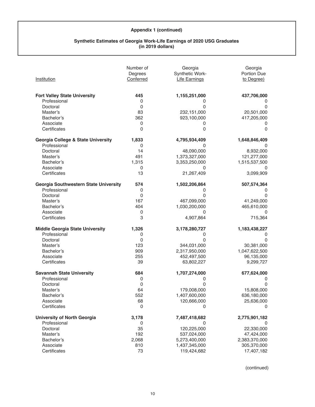#### **Synthetic Estimates of Georgia Work-Life Earnings of 2020 USG Graduates (in 2019 dollars)**

|                                               | Number of<br>Degrees | Georgia<br>Synthetic Work- | Georgia<br>Portion Due |
|-----------------------------------------------|----------------------|----------------------------|------------------------|
| Institution                                   | Conferred            | <b>Life Earnings</b>       | to Degree)             |
| <b>Fort Valley State University</b>           | 445                  | 1,155,251,000              | 437,706,000            |
| Professional                                  | 0                    | 0                          | 0                      |
| Doctoral                                      | 0                    | 0                          | 0                      |
| Master's                                      | 83                   | 232,151,000                | 20,501,000             |
| Bachelor's                                    | 362                  | 923,100,000                | 417,205,000            |
| Associate                                     | 0                    | 0                          | 0                      |
| Certificates                                  | $\Omega$             | 0                          | $\Omega$               |
| <b>Georgia College &amp; State University</b> | 1,833                | 4,795,934,409              | 1,648,846,409          |
| Professional                                  | 0                    | 0                          | 0                      |
| Doctoral                                      | 14                   | 48,090,000                 | 8,932,000              |
| Master's                                      | 491                  | 1,373,327,000              | 121,277,000            |
| Bachelor's                                    | 1,315                | 3,353,250,000              | 1,515,537,500          |
| Associate                                     | 0                    | 0                          | 0                      |
| Certificates                                  | 13                   | 21,267,409                 | 3,099,909              |
| Georgia Southwestern State University         | 574                  | 1,502,206,864              | 507,574,364            |
| Professional                                  | 0                    | 0                          | 0                      |
| Doctoral                                      | 0                    | 0                          | 0                      |
| Master's                                      | 167                  | 467,099,000                | 41,249,000             |
| Bachelor's                                    | 404                  | 1,030,200,000              | 465,610,000            |
| Associate                                     | 0                    | 0                          | 0                      |
| Certificates                                  | 3                    | 4,907,864                  | 715,364                |
| <b>Middle Georgia State University</b>        | 1,326                | 3,178,280,727              | 1,183,438,227          |
| Professional                                  | 0                    | 0                          | 0                      |
| Doctoral                                      | 0                    | $\Omega$                   | 0                      |
| Master's                                      | 123                  | 344,031,000                | 30,381,000             |
| Bachelor's                                    | 909                  | 2,317,950,000              | 1,047,622,500          |
| Associate                                     | 255                  | 452,497,500                | 96,135,000             |
| Certificates                                  | 39                   | 63,802,227                 | 9,299,727              |
| <b>Savannah State University</b>              | 684                  | 1,707,274,000              | 677,624,000            |
| Professional                                  | 0                    | 0                          | 0                      |
| Doctoral                                      | 0                    | 0                          | 0                      |
| Master's                                      | 64                   | 179,008,000                | 15,808,000             |
| Bachelor's                                    | 552                  | 1,407,600,000              | 636,180,000            |
| Associate                                     | 68                   | 120,666,000                | 25,636,000             |
| Certificates                                  | $\mathbf 0$          | 0                          | 0                      |
| <b>University of North Georgia</b>            | 3,178                | 7,487,418,682              | 2,775,901,182          |
| Professional                                  | 0                    | 0                          | 0                      |
| Doctoral                                      | 35                   | 120,225,000                | 22,330,000             |
| Master's                                      | 192                  | 537,024,000                | 47,424,000             |
| Bachelor's                                    | 2,068                | 5,273,400,000              | 2,383,370,000          |
| Associate                                     | 810                  | 1,437,345,000              | 305,370,000            |
| Certificates                                  | 73                   | 119,424,682                | 17,407,182             |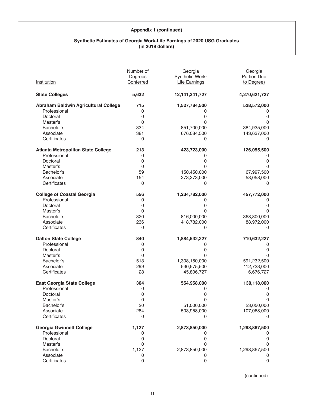## **Synthetic Estimates of Georgia Work-Life Earnings of 2020 USG Graduates (in 2019 dollars)**

|                                      | Number of   | Georgia              | Georgia       |
|--------------------------------------|-------------|----------------------|---------------|
|                                      | Degrees     | Synthetic Work-      | Portion Due   |
| Institution                          | Conferred   | <b>Life Earnings</b> | to Degree)    |
| <b>State Colleges</b>                | 5,632       | 12, 141, 341, 727    | 4,270,621,727 |
| Abraham Baldwin Agricultural College | 715         | 1,527,784,500        | 528,572,000   |
| Professional                         | 0           | 0                    | 0             |
| Doctoral                             | 0           | 0                    | 0             |
| Master's                             | 0           | 0                    | $\Omega$      |
| Bachelor's                           | 334         | 851,700,000          | 384,935,000   |
| Associate                            | 381         | 676,084,500          | 143,637,000   |
| Certificates                         | 0           | 0                    | 0             |
| Atlanta Metropolitan State College   | 213         | 423,723,000          | 126,055,500   |
| Professional                         | 0           | 0                    | $\Omega$      |
| Doctoral                             | 0           | 0                    | 0             |
| Master's                             | 0           | 0                    | 0             |
| Bachelor's                           | 59          | 150,450,000          | 67,997,500    |
| Associate                            | 154         | 273,273,000          | 58,058,000    |
| Certificates                         | 0           | 0                    | 0             |
| <b>College of Coastal Georgia</b>    | 556         | 1,234,782,000        | 457,772,000   |
| Professional                         | 0           | 0                    | 0             |
| Doctoral                             | 0           | 0                    | 0             |
| Master's                             | 0           | 0                    | 0             |
| Bachelor's                           | 320         | 816,000,000          | 368,800,000   |
| Associate                            | 236         | 418,782,000          | 88,972,000    |
| Certificates                         | 0           | $\Omega$             | 0             |
| <b>Dalton State College</b>          | 840         | 1,884,532,227        | 710,632,227   |
| Professional                         | 0           | 0                    | 0             |
| Doctoral                             | 0           | 0                    | 0             |
| Master's                             | $\Omega$    | 0                    | $\Omega$      |
| Bachelor's                           | 513         | 1,308,150,000        | 591,232,500   |
| Associate                            | 299         | 530,575,500          | 112,723,000   |
| Certificates                         | 28          | 45,806,727           | 6,676,727     |
| <b>East Georgia State College</b>    | 304         | 554,958,000          | 130,118,000   |
| Professional                         | 0           | 0                    | 0             |
| Doctoral                             | 0           | 0                    | 0             |
| Master's                             | 0           | 0                    | $\mathbf 0$   |
| Bachelor's                           | 20          | 51,000,000           | 23,050,000    |
| Associate                            | 284         | 503,958,000          | 107,068,000   |
| Certificates                         | $\mathbf 0$ | 0                    | 0             |
| <b>Georgia Gwinnett College</b>      | 1,127       | 2,873,850,000        | 1,298,867,500 |
| Professional                         | 0           | 0                    | 0             |
| Doctoral                             | 0           | 0                    | 0             |
| Master's                             | 0           | 0                    | 0             |
| Bachelor's                           | 1,127       | 2,873,850,000        | 1,298,867,500 |
| Associate                            | 0           | 0                    | 0             |
| Certificates                         | 0           | 0                    | 0             |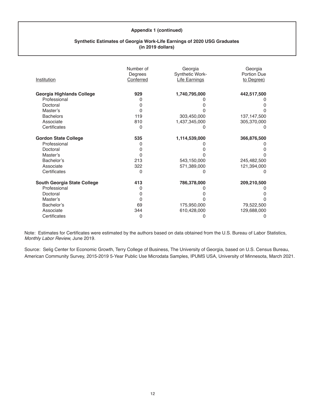## **Synthetic Estimates of Georgia Work-Life Earnings of 2020 USG Graduates (in 2019 dollars)**

| Institution                 | Number of<br>Degrees<br>Conferred | Georgia<br>Synthetic Work-<br><b>Life Earnings</b> | Georgia<br>Portion Due<br>to Degree) |
|-----------------------------|-----------------------------------|----------------------------------------------------|--------------------------------------|
| Georgia Highlands College   | 929                               | 1,740,795,000                                      | 442,517,500                          |
| Professional                |                                   |                                                    |                                      |
| Doctoral                    | O                                 |                                                    |                                      |
| Master's                    | O                                 |                                                    |                                      |
| <b>Bachelors</b>            | 119                               | 303,450,000                                        | 137, 147, 500                        |
| Associate                   | 810                               | 1,437,345,000                                      | 305,370,000                          |
| Certificates                | 0                                 |                                                    |                                      |
| <b>Gordon State College</b> | 535                               | 1,114,539,000                                      | 366,876,500                          |
| Professional                | O                                 |                                                    |                                      |
| Doctoral                    | ი                                 |                                                    |                                      |
| Master's                    | O                                 |                                                    |                                      |
| Bachelor's                  | 213                               | 543,150,000                                        | 245,482,500                          |
| Associate                   | 322                               | 571,389,000                                        | 121,394,000                          |
| Certificates                | O                                 |                                                    |                                      |
| South Georgia State College | 413                               | 786,378,000                                        | 209,210,500                          |
| Professional                | 0                                 |                                                    |                                      |
| Doctoral                    | O                                 |                                                    |                                      |
| Master's                    | O                                 |                                                    |                                      |
| Bachelor's                  | 69                                | 175,950,000                                        | 79,522,500                           |
| Associate                   | 344                               | 610,428,000                                        | 129,688,000                          |
| Certificates                | 0                                 |                                                    |                                      |

Note: Estimates for Certificates were estimated by the authors based on data obtained from the U.S. Bureau of Labor Statistics, *Monthly Labor Review,* June 2019. 

Source: Selig Center for Economic Growth, Terry College of Business, The University of Georgia, based on U.S. Census Bureau, American Community Survey, 2015-2019 5-Year Public Use Microdata Samples, IPUMS USA, University of Minnesota, March 2021.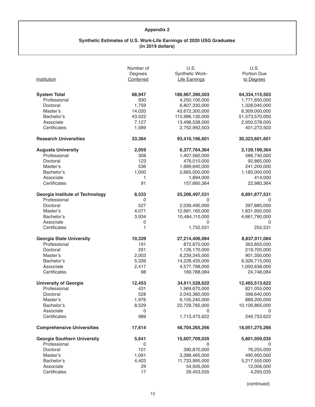# **Appendix 2**

#### **Synthetic Estimates of U.S. Work-Life Earnings of 2020 USG Graduates (in 2019 dollars)**

|                                                        | Number of<br>Degrees | U.S.<br>Synthetic Work-         | U.S.<br>Portion Due          |
|--------------------------------------------------------|----------------------|---------------------------------|------------------------------|
| Institution                                            | Conferred            | <b>Life Earnings</b>            | to Degree)                   |
| <b>System Total</b>                                    | 68,947               | 186,967,390,503                 | 64,334,115,503               |
| Professional                                           | 930                  | 4,250,100,000                   | 1,771,650,000                |
| Doctoral                                               | 1,759                | 6,807,330,000                   | 1,328,045,000                |
| Master's                                               | 14,020               | 43,672,300,000                  | 6,309,000,000                |
| Bachelor's                                             | 43,522               | 115,986,130,000                 | 51,573,570,000               |
| Associate                                              | 7,127                | 13,498,538,000                  | 2,950,578,000                |
| Certificates                                           | 1,589                | 2,752,992,503                   | 401,272,503                  |
| <b>Research Universities</b>                           | 33,384               | 93,410,196,601                  | 30,323,601,601               |
| <b>Augusta University</b>                              | 2,059                | 6,377,764,364                   | 2,129,199,364                |
| Professional                                           | 308                  | 1,407,560,000                   | 586,740,000                  |
| Doctoral                                               | 123                  | 476,010,000                     | 92,865,000                   |
| Master's                                               | 536                  | 1,669,640,000                   | 241,200,000                  |
| Bachelor's                                             | 1,000                | 2,665,000,000                   | 1,185,000,000                |
| Associate                                              | 1                    | 1,894,000                       | 414,000                      |
| Certificates                                           | 91                   | 157,660,364                     | 22,980,364                   |
| <b>Georgia Institute of Technology</b><br>Professional | 8,533                | 25,206,497,531                  | 6,891,877,531                |
|                                                        | $\pmb{0}$<br>527     | 0<br>2,039,490,000              | 0                            |
| Doctoral<br>Master's                                   | 4,071                | 12,681,165,000                  | 397,885,000<br>1,831,950,000 |
| Bachelor's                                             | 3,934                | 10,484,110,000                  | 4,661,790,000                |
| Associate                                              | 0                    | 0                               | 0                            |
| Certificates                                           | 1                    | 1,732,531                       | 252,531                      |
| <b>Georgia State University</b>                        | 10,339               | 27,214,406,084                  | 8,837,011,084                |
| Professional                                           | 191                  | 872,870,000                     | 363,855,000                  |
| Doctoral                                               | 291                  | 1,126,170,000                   | 219,705,000                  |
| Master's                                               | 2,003                | 6,239,345,000                   | 901,350,000                  |
| Bachelor's                                             | 5,339                | 14,228,435,000                  | 6,326,715,000                |
| Associate                                              | 2,417                | 4,577,798,000                   | 1,000,638,000                |
| Certificates                                           | 98                   | 169,788,084                     | 24,748,084                   |
| <b>University of Georgia</b>                           | 12,453               | 34,611,528,622                  | 12,465,513,622               |
| Professional                                           | 431                  | 1,969,670,000                   | 821,055,000                  |
| Doctoral                                               | 528                  | 2,043,360,000                   | 398,640,000                  |
| Master's                                               | 1,976                | 6,155,240,000                   | 889,200,000                  |
| Bachelor's                                             | 8,529                | 22,729,785,000                  | 10,106,865,000               |
| Associate                                              | 0                    | 0                               | 0                            |
| Certificates                                           | 989                  | 1,713,473,622                   | 249,753,622                  |
| <b>Comprehensive Universities</b>                      | 17,614               | 48,704,265,266                  | 18,051,275,266               |
| <b>Georgia Southern University</b>                     | 5,641                | 15,607,709,035                  | 5,801,059,035                |
| Professional                                           | 0                    | 0                               | 0                            |
| Doctoral<br>Master's                                   | 101                  | 390,870,000                     | 76,255,000                   |
|                                                        | 1,091<br>4,403       | 3,398,465,000<br>11,733,995,000 | 490,950,000<br>5,217,555,000 |
| Bachelor's<br>Associate                                | 29                   | 54,926,000                      | 12,006,000                   |
| Certificates                                           | 17                   | 29,453,035                      | 4,293,035                    |
|                                                        |                      |                                 |                              |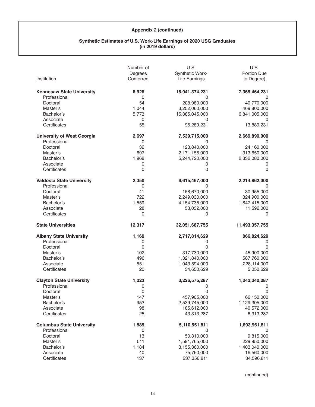#### **Synthetic Estimates of U.S. Work-Life Earnings of 2020 USG Graduates (in 2019 dollars)**

| Institution                       | Number of<br>Degrees<br>Conferred | U.S.<br>Synthetic Work-<br><b>Life Earnings</b> | U.S.<br>Portion Due<br>to Degree) |
|-----------------------------------|-----------------------------------|-------------------------------------------------|-----------------------------------|
| <b>Kennesaw State University</b>  | 6,926                             | 18,941,374,231                                  | 7,365,464,231                     |
| Professional                      | 0                                 | 0                                               |                                   |
| Doctoral                          | 54                                | 208,980,000                                     | 40,770,000                        |
| Master's                          | 1,044                             | 3,252,060,000                                   | 469,800,000                       |
| Bachelor's                        | 5,773                             | 15,385,045,000                                  | 6,841,005,000                     |
| Associate                         | $\mathbf 0$                       | 0                                               | 0                                 |
| Certificates                      | 55                                | 95,289,231                                      | 13,889,231                        |
| <b>University of West Georgia</b> | 2,697                             | 7,539,715,000                                   | 2,669,890,000                     |
| Professional                      | $\mathbf 0$                       | 0                                               | 0                                 |
| Doctoral                          | 32                                | 123,840,000                                     | 24,160,000                        |
| Master's                          | 697                               | 2,171,155,000                                   | 313,650,000                       |
| Bachelor's                        | 1,968                             | 5,244,720,000                                   | 2,332,080,000                     |
| Associate                         | 0                                 | 0                                               | 0                                 |
| Certificates                      | 0                                 | 0                                               | $\Omega$                          |
| <b>Valdosta State University</b>  | 2,350                             | 6,615,467,000                                   | 2,214,862,000                     |
| Professional                      | 0                                 | 0                                               | 0                                 |
| Doctoral                          | 41                                | 158,670,000                                     | 30,955,000                        |
| Master's                          | 722                               | 2,249,030,000                                   | 324,900,000                       |
| Bachelor's                        | 1,559                             | 4,154,735,000                                   | 1,847,415,000                     |
| Associate                         | 28                                | 53,032,000                                      | 11,592,000                        |
| Certificates                      | $\Omega$                          | 0                                               | 0                                 |
| <b>State Universities</b>         | 12,317                            | 32,051,687,755                                  | 11,493,357,755                    |
| <b>Albany State University</b>    | 1,169                             | 2,717,814,629                                   | 866,824,629                       |
| Professional                      | 0                                 | 0                                               | 0                                 |
| Doctoral                          | $\pmb{0}$                         | 0                                               | 0                                 |
| Master's                          | 102                               | 317,730,000                                     | 45,900,000                        |
| Bachelor's                        | 496                               | 1,321,840,000                                   | 587,760,000                       |
| Associate                         | 551                               | 1,043,594,000                                   | 228,114,000                       |
| Certificates                      | 20                                | 34,650,629                                      | 5,050,629                         |
| <b>Clayton State University</b>   | 1,223                             | 3,226,575,287                                   | 1,242,340,287                     |
| Professional                      | 0                                 | 0                                               | 0                                 |
| Doctoral                          | $\Omega$                          | 0                                               | $\overline{0}$                    |
| Master's                          | 147                               | 457,905,000                                     | 66,150,000                        |
| Bachelor's                        | 953                               | 2,539,745,000                                   | 1,129,305,000                     |
| Associate                         | 98                                | 185,612,000                                     | 40,572,000                        |
| Certificates                      | 25                                | 43,313,287                                      | 6,313,287                         |
| <b>Columbus State University</b>  | 1,885                             | 5,110,551,811                                   | 1,693,961,811                     |
| Professional                      | 0                                 | 0                                               | 0                                 |
| Doctoral                          | 13                                | 50,310,000                                      | 9,815,000                         |
| Master's                          | 511                               | 1,591,765,000                                   | 229,950,000                       |
| Bachelor's                        | 1,184                             | 3,155,360,000                                   | 1,403,040,000                     |
| Associate                         | 40                                | 75,760,000                                      | 16,560,000                        |
| Certificates                      | 137                               | 237,356,811                                     | 34,596,811                        |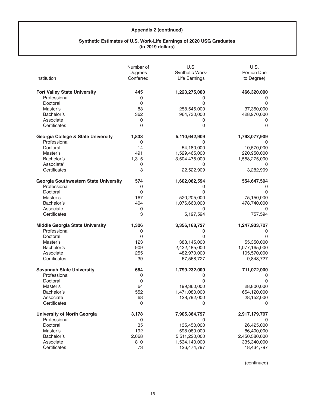#### **Synthetic Estimates of U.S. Work-Life Earnings of 2020 USG Graduates (in 2019 dollars)**

|                                                     | Number of<br>Degrees | U.S.<br>Synthetic Work- | U.S.<br>Portion Due |
|-----------------------------------------------------|----------------------|-------------------------|---------------------|
| Institution                                         | Conferred            | <b>Life Earnings</b>    | to Degree)          |
|                                                     | 445                  | 1,223,275,000           |                     |
| <b>Fort Valley State University</b><br>Professional |                      |                         | 466,320,000         |
| Doctoral                                            | 0<br>0               | 0<br>0                  | 0<br>0              |
|                                                     |                      |                         |                     |
| Master's                                            | 83                   | 258,545,000             | 37,350,000          |
| Bachelor's                                          | 362                  | 964,730,000             | 428,970,000         |
| Associate                                           | 0                    | 0                       | 0                   |
| Certificates                                        | 0                    | 0                       | 0                   |
| <b>Georgia College &amp; State University</b>       | 1,833                | 5,110,642,909           | 1,793,077,909       |
| Professional                                        | 0                    | 0                       | 0                   |
| Doctoral                                            | 14                   | 54,180,000              | 10,570,000          |
| Master's                                            | 491                  | 1,529,465,000           | 220,950,000         |
| Bachelor's                                          | 1,315                | 3,504,475,000           | 1,558,275,000       |
| Associate'                                          | 0                    |                         | 0                   |
| Certificates                                        | 13                   | 22,522,909              | 3,282,909           |
| Georgia Southwestern State University               | 574                  | 1,602,062,594           | 554,647,594         |
| Professional                                        | 0                    | 0                       | 0                   |
| Doctoral                                            | 0                    | ი                       | 0                   |
| Master's                                            | 167                  | 520,205,000             | 75,150,000          |
| Bachelor's                                          | 404                  | 1,076,660,000           | 478,740,000         |
| Associate                                           | 0                    | 0                       | 0                   |
| Certificates                                        | 3                    | 5,197,594               | 757,594             |
| <b>Middle Georgia State University</b>              | 1,326                | 3,356,168,727           | 1,247,933,727       |
| Professional                                        | 0                    | 0                       | 0                   |
| Doctoral                                            | 0                    | 0                       | 0                   |
| Master's                                            | 123                  | 383,145,000             | 55,350,000          |
| Bachelor's                                          | 909                  | 2,422,485,000           | 1,077,165,000       |
| Associate                                           | 255                  | 482,970,000             | 105,570,000         |
| Certificates                                        | 39                   | 67,568,727              | 9,848,727           |
| <b>Savannah State University</b>                    | 684                  | 1,799,232,000           | 711,072,000         |
| Professional                                        | 0                    | 0                       | 0                   |
| Doctoral                                            | 0                    | 0                       | 0                   |
| Master's                                            | 64                   | 199,360,000             | 28,800,000          |
| Bachelor's                                          | 552                  | 1,471,080,000           | 654,120,000         |
| Associate                                           | 68                   | 128,792,000             | 28,152,000          |
| Certificates                                        | 0                    | 0                       | 0                   |
| <b>University of North Georgia</b>                  | 3,178                | 7,905,364,797           | 2,917,179,797       |
| Professional                                        | 0                    | 0                       | 0                   |
| Doctoral                                            | 35                   | 135,450,000             | 26,425,000          |
| Master's                                            | 192                  | 598,080,000             | 86,400,000          |
| Bachelor's                                          | 2,068                | 5,511,220,000           | 2,450,580,000       |
| Associate                                           | 810                  | 1,534,140,000           | 335,340,000         |
| Certificates                                        |                      |                         |                     |
|                                                     | 73                   | 126,474,797             | 18,434,797          |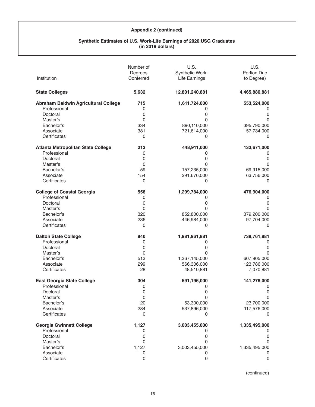#### **Synthetic Estimates of U.S. Work-Life Earnings of 2020 USG Graduates (in 2019 dollars)**

|                                      | Number of           | U.S.                 | U.S.                |
|--------------------------------------|---------------------|----------------------|---------------------|
|                                      | Degrees             | Synthetic Work-      | Portion Due         |
| Institution                          | Conferred           | <b>Life Earnings</b> | to Degree)          |
| <b>State Colleges</b>                | 5,632               | 12,801,240,881       | 4,465,880,881       |
| Abraham Baldwin Agricultural College | 715                 | 1,611,724,000        | 553,524,000         |
| Professional                         | 0                   | 0                    | 0                   |
| Doctoral                             | 0                   | 0                    | 0                   |
| Master's                             | 0                   | 0                    | 0                   |
| Bachelor's                           | 334                 | 890,110,000          | 395,790,000         |
| Associate                            | 381                 | 721,614,000          | 157,734,000         |
| Certificates                         | 0                   | 0                    | 0                   |
| Atlanta Metropolitan State College   | 213                 | 448,911,000          | 133,671,000         |
| Professional                         | 0                   | 0                    | 0                   |
| Doctoral                             | 0                   | 0                    | 0                   |
| Master's                             | 0                   | 0                    | $\Omega$            |
| Bachelor's                           | 59                  | 157,235,000          | 69,915,000          |
| Associate                            | 154                 | 291,676,000          | 63,756,000          |
| Certificates                         | 0                   | 0                    | 0                   |
| <b>College of Coastal Georgia</b>    | 556                 | 1,299,784,000        | 476,904,000         |
| Professional                         | 0                   | 0                    | 0                   |
| Doctoral                             | 0                   | 0                    | 0                   |
| Master's                             | 0                   | 0                    | $\Omega$            |
| Bachelor's                           | 320                 | 852,800,000          | 379,200,000         |
| Associate                            | 236                 | 446,984,000          | 97,704,000          |
| Certificates                         | 0                   | 0                    | 0                   |
| <b>Dalton State College</b>          | 840                 | 1,981,961,881        | 738,761,881         |
| Professional                         | 0                   | 0                    | 0                   |
| Doctoral                             | 0                   | 0                    | $\Omega$            |
| Master's                             | 0                   | O                    | $\Omega$            |
| Bachelor's                           | 513                 | 1,367,145,000        | 607,905,000         |
| Associate                            | 299                 | 566,306,000          | 123,786,000         |
| Certificates                         | 28                  | 48,510,881           | 7,070,881           |
| <b>East Georgia State College</b>    | 304                 | 591,196,000          | 141,276,000         |
| Professional                         | 0                   | 0                    | 0                   |
| Doctoral                             | 0                   | 0                    | $\mathsf{O}\xspace$ |
| Master's                             | 0                   | 0                    | 0                   |
| Bachelor's                           | 20                  | 53,300,000           | 23,700,000          |
| Associate                            | 284                 | 537,896,000          | 117,576,000         |
| Certificates                         | $\mathbf 0$         | 0                    | 0                   |
| <b>Georgia Gwinnett College</b>      | 1,127               | 3,003,455,000        | 1,335,495,000       |
| Professional                         | 0                   | 0                    | 0                   |
| Doctoral                             | 0                   | 0                    | 0                   |
| Master's                             | 0                   | 0                    | $\Omega$            |
| Bachelor's                           | 1,127               | 3,003,455,000        | 1,335,495,000       |
| Associate                            | 0                   | 0                    | 0                   |
| Certificates                         | $\mathsf{O}\xspace$ | $\mathbf 0$          | $\mathsf 0$         |